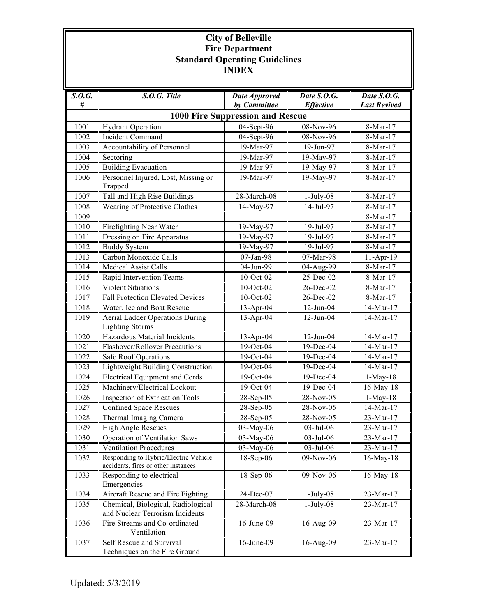## **City of Belleville Fire Department Standard Operating Guidelines INDEX**

| S. O. G.                                | $S.O.G.$ Title                                                               | <b>Date Approved</b> | Date S.O.G.             | Date S.O.G.         |  |  |  |  |
|-----------------------------------------|------------------------------------------------------------------------------|----------------------|-------------------------|---------------------|--|--|--|--|
| #                                       |                                                                              | by Committee         | <b>Effective</b>        | <b>Last Revived</b> |  |  |  |  |
| <b>1000 Fire Suppression and Rescue</b> |                                                                              |                      |                         |                     |  |  |  |  |
| 1001                                    | <b>Hydrant Operation</b>                                                     | 04-Sept-96           | 08-Nov-96               | 8-Mar-17            |  |  |  |  |
| 1002                                    | Incident Command                                                             | 04-Sept-96           | 08-Nov-96               | 8-Mar-17            |  |  |  |  |
| 1003                                    | Accountability of Personnel                                                  | 19-Mar-97            | 19-Jun-97               | 8-Mar-17            |  |  |  |  |
| 1004                                    | Sectoring                                                                    | 19-Mar-97            | 19-May-97               | 8-Mar-17            |  |  |  |  |
| 1005                                    | <b>Building Evacuation</b>                                                   | 19-Mar-97            | 19-May-97               | 8-Mar-17            |  |  |  |  |
| 1006                                    | Personnel Injured, Lost, Missing or<br>Trapped                               | 19-Mar-97            | 19-May-97               | 8-Mar-17            |  |  |  |  |
| 1007                                    | Tall and High Rise Buildings                                                 | 28-March-08          | $1-July-08$             | 8-Mar-17            |  |  |  |  |
| 1008                                    | Wearing of Protective Clothes                                                | 14-May-97            | 14-Jul-97               | 8-Mar-17            |  |  |  |  |
| 1009                                    |                                                                              |                      |                         | 8-Mar-17            |  |  |  |  |
| 1010                                    | Firefighting Near Water                                                      | 19-May-97            | 19-Jul-97               | 8-Mar-17            |  |  |  |  |
| 1011                                    | Dressing on Fire Apparatus                                                   | 19-May-97            | 19-Jul-97               | 8-Mar-17            |  |  |  |  |
| 1012                                    | <b>Buddy System</b>                                                          | 19-May-97            | $\overline{19}$ -Jul-97 | 8-Mar-17            |  |  |  |  |
| 1013                                    | Carbon Monoxide Calls                                                        | 07-Jan-98            | 07-Mar-98               | 11-Apr-19           |  |  |  |  |
| 1014                                    | <b>Medical Assist Calls</b>                                                  | 04-Jun-99            | 04-Aug-99               | 8-Mar-17            |  |  |  |  |
| 1015                                    | Rapid Intervention Teams                                                     | 10-Oct-02            | 25-Dec-02               | 8-Mar-17            |  |  |  |  |
| 1016                                    | <b>Violent Situations</b>                                                    | 10-Oct-02            | 26-Dec-02               | 8-Mar-17            |  |  |  |  |
| 1017                                    | Fall Protection Elevated Devices                                             | 10-Oct-02            | 26-Dec-02               | 8-Mar-17            |  |  |  |  |
| 1018                                    | Water, Ice and Boat Rescue                                                   | 13-Apr-04            | $12$ -Jun-04            | 14-Mar-17           |  |  |  |  |
| 1019                                    | <b>Aerial Ladder Operations During</b><br><b>Lighting Storms</b>             | 13-Apr-04            | $12$ -Jun-04            | 14-Mar-17           |  |  |  |  |
| 1020                                    | Hazardous Material Incidents                                                 | 13-Apr-04            | $12$ -Jun-04            | 14-Mar-17           |  |  |  |  |
| 1021                                    | Flashover/Rollover Precautions                                               | 19-Oct-04            | 19-Dec-04               | 14-Mar-17           |  |  |  |  |
| 1022                                    | Safe Roof Operations                                                         | 19-Oct-04            | 19-Dec-04               | 14-Mar-17           |  |  |  |  |
| 1023                                    | <b>Lightweight Building Construction</b>                                     | 19-Oct-04            | 19-Dec-04               | 14-Mar-17           |  |  |  |  |
| 1024                                    | <b>Electrical Equipment and Cords</b>                                        | 19-Oct-04            | 19-Dec-04               | $1-May-18$          |  |  |  |  |
| 1025                                    | Machinery/Electrical Lockout                                                 | 19-Oct-04            | 19-Dec-04               | 16-May-18           |  |  |  |  |
| 1026                                    | <b>Inspection of Extrication Tools</b>                                       | 28-Sep-05            | 28-Nov-05               | $1-May-18$          |  |  |  |  |
| 1027                                    | <b>Confined Space Rescues</b>                                                | 28-Sep-05            | 28-Nov-05               | 14-Mar-17           |  |  |  |  |
| 1028                                    | Thermal Imaging Camera                                                       | 28-Sep-05            | 28-Nov-05               | 23-Mar-17           |  |  |  |  |
| 1029                                    | <b>High Angle Rescues</b>                                                    | 03-May-06            | 03-Jul-06               | 23-Mar-17           |  |  |  |  |
| 1030                                    | Operation of Ventilation Saws                                                | 03-May-06            | 03-Jul-06               | 23-Mar-17           |  |  |  |  |
| 1031                                    | <b>Ventilation Procedures</b>                                                | 03-May-06            | 03-Jul-06               | $23-Mar-17$         |  |  |  |  |
| 1032                                    | Responding to Hybrid/Electric Vehicle<br>accidents, fires or other instances | 18-Sep-06            | 09-Nov-06               | $16$ -May- $18$     |  |  |  |  |
| 1033                                    | Responding to electrical<br>Emergencies                                      | 18-Sep-06            | 09-Nov-06               | $16$ -May- $18$     |  |  |  |  |
| 1034                                    | Aircraft Rescue and Fire Fighting                                            | 24-Dec-07            | $1-July-08$             | 23-Mar-17           |  |  |  |  |
| 1035                                    | Chemical, Biological, Radiological<br>and Nuclear Terrorism Incidents        | 28-March-08          | $1-July-08$             | 23-Mar-17           |  |  |  |  |
| 1036                                    | Fire Streams and Co-ordinated<br>Ventilation                                 | 16-June-09           | 16-Aug-09               | 23-Mar-17           |  |  |  |  |
| 1037                                    | Self Rescue and Survival<br>Techniques on the Fire Ground                    | 16-June-09           | 16-Aug-09               | 23-Mar-17           |  |  |  |  |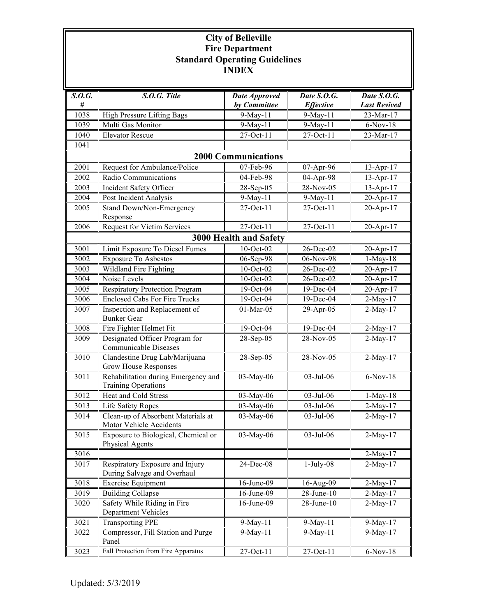## **City of Belleville Fire Department Standard Operating Guidelines INDEX**

| S. O. G.                   | S.O.G. Title                                              | <b>Date Approved</b> | Date S.O.G.      | Date S.O.G.         |  |  |  |
|----------------------------|-----------------------------------------------------------|----------------------|------------------|---------------------|--|--|--|
| #                          |                                                           | by Committee         | <b>Effective</b> | <b>Last Revived</b> |  |  |  |
| 1038                       | High Pressure Lifting Bags                                | 9-May-11             | 9-May-11         | 23-Mar-17           |  |  |  |
| 1039                       | Multi Gas Monitor                                         | 9-May-11             | 9-May-11         | $6-Nov-18$          |  |  |  |
| 1040                       | <b>Elevator Rescue</b>                                    | 27-Oct-11            | 27-Oct-11        | 23-Mar-17           |  |  |  |
| 1041                       |                                                           |                      |                  |                     |  |  |  |
| <b>2000 Communications</b> |                                                           |                      |                  |                     |  |  |  |
| 2001                       | Request for Ambulance/Police                              | 07-Feb-96            | 07-Apr-96        | 13-Apr-17           |  |  |  |
| 2002                       | Radio Communications                                      | 04-Feb-98            | 04-Apr-98        | $13-Apr-17$         |  |  |  |
| 2003                       | Incident Safety Officer                                   | 28-Sep-05            | 28-Nov-05        | 13-Apr-17           |  |  |  |
| 2004                       | Post Incident Analysis                                    | 9-May-11             | 9-May-11         | 20-Apr-17           |  |  |  |
| 2005                       | Stand Down/Non-Emergency                                  | 27-Oct-11            | 27-Oct-11        | 20-Apr-17           |  |  |  |
|                            | Response                                                  |                      |                  |                     |  |  |  |
| 2006                       | <b>Request for Victim Services</b>                        | 27-Oct-11            | 27-Oct-11        | 20-Apr-17           |  |  |  |
| 3000 Health and Safety     |                                                           |                      |                  |                     |  |  |  |
| 3001                       | Limit Exposure To Diesel Fumes                            | 10-Oct-02            | 26-Dec-02        | 20-Apr-17           |  |  |  |
| 3002                       | <b>Exposure To Asbestos</b>                               | 06-Sep-98            | 06-Nov-98        | $1-May-18$          |  |  |  |
| 3003                       | <b>Wildland Fire Fighting</b>                             | 10-Oct-02            | 26-Dec-02        | 20-Apr-17           |  |  |  |
| 3004                       | Noise Levels                                              | 10-Oct-02            | 26-Dec-02        | 20-Apr-17           |  |  |  |
| 3005                       | <b>Respiratory Protection Program</b>                     | 19-Oct-04            | 19-Dec-04        | $20$ -Apr-17        |  |  |  |
| 3006                       | <b>Enclosed Cabs For Fire Trucks</b>                      | 19-Oct-04            | $19$ -Dec-04     | 2-May-17            |  |  |  |
| 3007                       | Inspection and Replacement of                             | 01-Mar-05            | 29-Apr-05        | $2-May-17$          |  |  |  |
|                            | <b>Bunker Gear</b>                                        |                      |                  |                     |  |  |  |
| 3008                       | Fire Fighter Helmet Fit                                   | 19-Oct-04            | 19-Dec-04        | 2-May-17            |  |  |  |
| 3009                       | Designated Officer Program for                            | 28-Sep-05            | 28-Nov-05        | $2-May-17$          |  |  |  |
|                            | Communicable Diseases                                     |                      |                  |                     |  |  |  |
| 3010                       | Clandestine Drug Lab/Marijuana                            | 28-Sep-05            | 28-Nov-05        | $2-May-17$          |  |  |  |
|                            | <b>Grow House Responses</b>                               |                      |                  |                     |  |  |  |
| 3011                       | Rehabilitation during Emergency and                       | 03-May-06            | 03-Jul-06        | $6-Nov-18$          |  |  |  |
|                            | <b>Training Operations</b>                                |                      |                  |                     |  |  |  |
| 3012                       | Heat and Cold Stress                                      | 03-May-06            | 03-Jul-06        | $1-May-18$          |  |  |  |
| 3013                       | Life Safety Ropes                                         | $03-May-06$          | 03-Jul-06        | 2-May-17            |  |  |  |
| 3014                       | Clean-up of Absorbent Materials at                        | 03-May-06            | 03-Jul-06        | $2-May-17$          |  |  |  |
|                            | Motor Vehicle Accidents                                   |                      |                  |                     |  |  |  |
| 3015                       | Exposure to Biological, Chemical or                       | 03-May-06            | 03-Jul-06        | 2-May-17            |  |  |  |
|                            | Physical Agents                                           |                      |                  |                     |  |  |  |
| 3016                       |                                                           |                      |                  | $2-May-17$          |  |  |  |
| 3017                       | Respiratory Exposure and Injury                           | 24-Dec-08            | $1-July-08$      | $2-May-17$          |  |  |  |
|                            | During Salvage and Overhaul                               |                      |                  |                     |  |  |  |
| 3018                       | <b>Exercise Equipment</b>                                 | 16-June-09           | 16-Aug-09        | $2-May-17$          |  |  |  |
| 3019                       | <b>Building Collapse</b>                                  | 16-June-09           | $28$ -June- $10$ | $2-May-17$          |  |  |  |
| 3020                       | Safety While Riding in Fire<br><b>Department Vehicles</b> | 16-June-09           | 28-June-10       | $2-May-17$          |  |  |  |
|                            |                                                           |                      |                  |                     |  |  |  |
| 3021                       | <b>Transporting PPE</b>                                   | $9$ -May-11          | 9-May-11         | 9-May-17            |  |  |  |
| 3022                       | Compressor, Fill Station and Purge<br>Panel               | $9-May-11$           | 9-May-11         | $9-May-17$          |  |  |  |
| 3023                       | Fall Protection from Fire Apparatus                       | $27-Oct-11$          | 27-Oct-11        | $6-Nov-18$          |  |  |  |